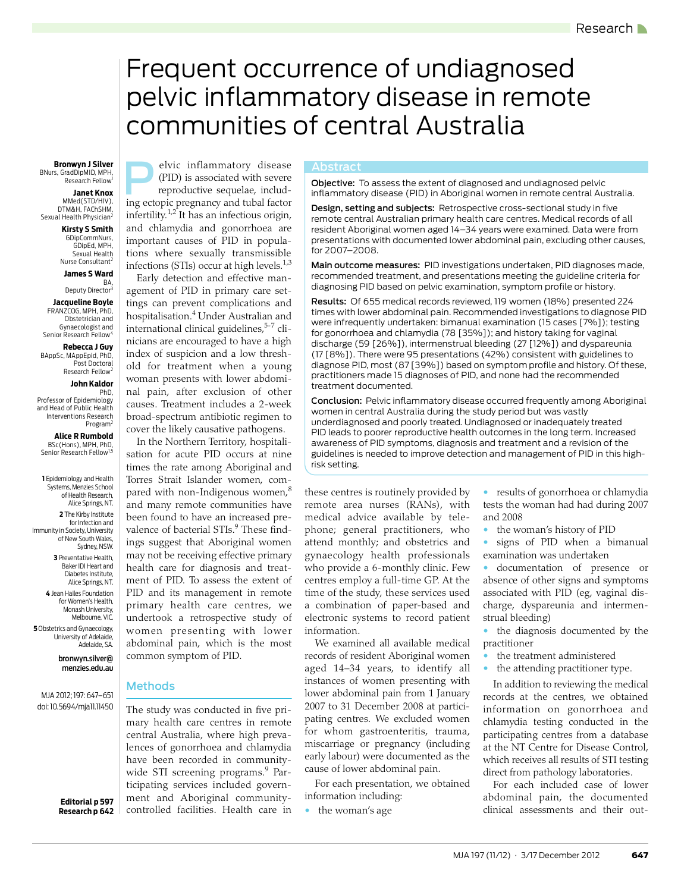# <span id="page-0-0"></span>Frequent occurrence of undiagnosed pelvic inflammatory disease in remote communities of central Australia

## BNurs, GradDipMID, MPH, Research Fellow<sup>1</sup>

**Janet Knox** MMed(STD/HIV), DTM&H, FAChSHM, Sexual Health Physician<sup>2</sup>

**Kirsty S Smith** GDipCommNurs, GDipEd, MPH, Sexual Health

Nurse Consultant<sup>2</sup>

**James S Ward** BA,

Deputy Director<sup>3</sup> **Jacqueline Boyle** FRANZCOG, MPH, PhD, Obstetrician and Gynaecologist and

Senior Research Fellow<sup>4</sup> **Rebecca J Guy**

BAppSc, MAppEpid, PhD, Post Doctoral Research Fellow<sup>2</sup>

### **John Kaldor**

PhD, Professor of Epidemiology and Head of Public Health Interventions Research Program<sup>2</sup>

**Alice R Rumbold** BSc(Hons), MPH, PhD, Senior Research Fellow<sup>1</sup>

**1** Epidemiology and Health Systems, Menzies School of Health Research, Alice Springs, NT.

**2** The Kirby Institute for Infection and Immunity in Society, University of New South Wales, Sydney, NSW.

> **3** Preventative Health, Baker IDI Heart and Diabetes Institute, Alice Springs, NT.

**4** Jean Hailes Foundation for Women's Health, Monash University, Melbourne, VIC.

**5** Obstetrics and Gynaecology, University of Adelaide, Adelaide, SA.

> bronwyn.silver@ menzies.edu.au

MJA 2012; 197: [647–](#page-0-0)[651](#page-4-0) doi: 10.5694/mja11.11450

> **Editorial p 597 Research p 642**

**Bronwyn J Silver Bronwyn J Silver Bronwyn J Silver Bronwyn J Silver Bronwyn J Silver Bronwyn J Silver Bronwyn J Silver Bronwyn J Silver Bronwyn J Silver Bronwyn J Silver Bronwyn J Silver Bronwyn J Silver** (PID) is associated with severe reproductive sequelae, including ectopic pregnancy and tubal factor infertility.<sup>[1,](#page-3-0)[2](#page-3-1)</sup> It has an infectious origin, and chlamydia and gonorrhoea are important causes of PID in populations where sexually transmissible infections (STIs) occur at high levels. $1,3$  $1,3$ 

> Early detection and effective management of PID in primary care settings can prevent complications and hospitalisation[.4](#page-3-3) Under Australian and international clinical guidelines,<sup>5-[7](#page-3-5)</sup> clinicians are encouraged to have a high index of suspicion and a low threshold for treatment when a young woman presents with lower abdominal pain, after exclusion of other causes. Treatment includes a 2-week broad-spectrum antibiotic regimen to cover the likely causative pathogens.

> In the Northern Territory, hospitalisation for acute PID occurs at nine times the rate among Aboriginal and Torres Strait Islander women, com-pared with non-Indigenous women,<sup>[8](#page-3-6)</sup> and many remote communities have been found to have an increased prevalence of bacterial STIs.<sup>9</sup> These findings suggest that Aboriginal women may not be receiving effective primary health care for diagnosis and treatment of PID. To assess the extent of PID and its management in remote primary health care centres, we undertook a retrospective study of women presenting with lower abdominal pain, which is the most common symptom of PID.

## Methods

mary health care centres in remote central Australia, where [high](#page-4-0) preva- $\mid$  lences of gonorrhoea and chlamydia  $\mid$  have been recorded in community-The study was conducted in five pri-wide STI screening programs.<sup>[9](#page-3-7)</sup> Participating services included government and Aboriginal communitycontrolled facilities. Health care in

Abstract<br>**Objective:** To assess the extent of diagnosed and undiagnosed pelvic inflammatory disease (PID) in Aboriginal women in remote central Australia.

Design, setting and subjects: Retrospective cross-sectional study in five remote central Australian primary health care centres. Medical records of all resident Aboriginal women aged 14–34 years were examined. Data were from presentations with documented lower abdominal pain, excluding other causes, for 2007–2008.

Main outcome measures: PID investigations undertaken, PID diagnoses made, recommended treatment, and presentations meeting the guideline criteria for diagnosing PID based on pelvic examination, symptom profile or history.

Results: Of 655 medical records reviewed, 119 women (18%) presented 224 times with lower abdominal pain. Recommended investigations to diagnose PID were infrequently undertaken: bimanual examination (15 cases [7%]); testing for gonorrhoea and chlamydia (78 [35%]); and history taking for vaginal discharge (59 [26%]), intermenstrual bleeding (27 [12%]) and dyspareunia (17 [8%]). There were 95 presentations (42%) consistent with guidelines to diagnose PID, most (87 [39%]) based on symptom profile and history. Of these, practitioners made 15 diagnoses of PID, and none had the recommended treatment documented.

Conclusion: Pelvic inflammatory disease occurred frequently among Aboriginal women in central Australia during the study period but was vastly underdiagnosed and poorly treated. Undiagnosed or inadequately treated PID leads to poorer reproductive health outcomes in the long term. Increased awareness of PID symptoms, diagnosis and treatment and a revision of the guidelines is needed to improve detection and management of PID in this highrisk setting.

these centres is routinely provided by remote area nurses (RANs), with medical advice available by telephone; general practitioners, who attend monthly; and obstetrics and gynaecology health professionals who provide a 6-monthly clinic. Few centres employ a full-time GP. At the time of the study, these services used a combination of paper-based and electronic systems to record patient information.

We examined all available medical records of resident Aboriginal women aged 14–34 years, to identify all instances of women presenting with lower abdominal pain from 1 January 2007 to 31 December 2008 at participating centres. We excluded women for whom gastroenteritis, trauma, miscarriage or pregnancy (including early labour) were documented as the cause of lower abdominal pain.

For each presentation, we obtained information including:

the woman's age

• results of gonorrhoea or chlamydia tests the woman had had during 2007 and 2008

- the woman's history of PID
- signs of PID when a bimanual examination was undertaken

• documentation of presence or absence of other signs and symptoms associated with PID (eg, vaginal discharge, dyspareunia and intermenstrual bleeding)

- the diagnosis documented by the practitioner
- the treatment administered
- the attending practitioner type.

In addition to reviewing the medical records at the centres, we obtained information on gonorrhoea and chlamydia testing conducted in the participating centres from a database at the NT Centre for Disease Control, which receives all results of STI testing direct from pathology laboratories.

For each included case of lower abdominal pain, the documented clinical assessments and their out-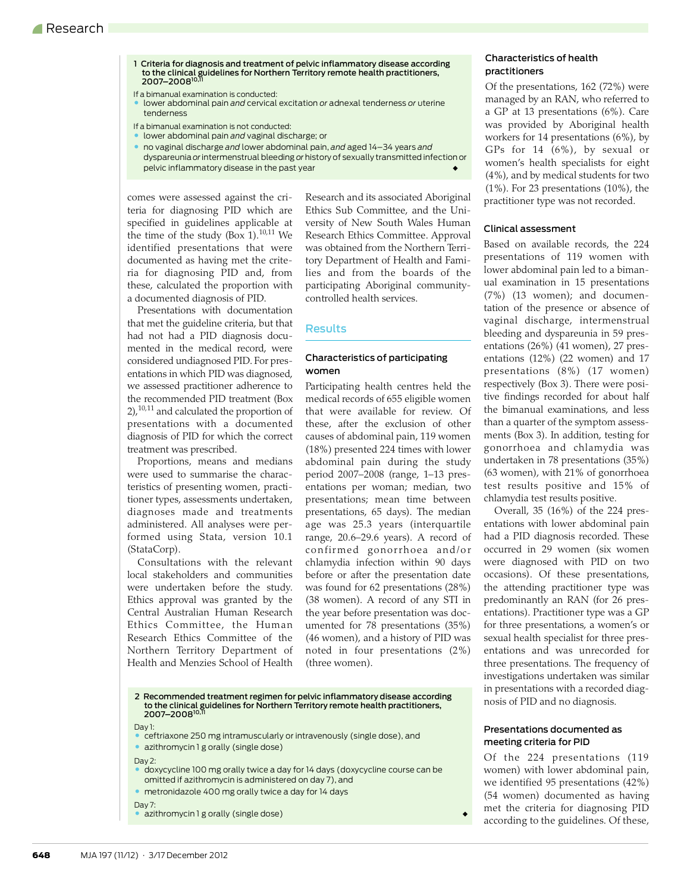- 1 Criteria for diagnosis and treatment of pelvic inflammatory disease according to the clinical guidelines for Northern Territory remote health practitioners,<br>2007–2008<sup>[10,](#page-3-8)[11](#page-3-9)</sup>
- If a bimanual examination is conducted:
- lower abdominal pain *and* cervical excitation *or* adnexal tenderness *or* uterine tenderness
- If a bimanual examination is not conducted:
- lower abdominal pain *and* vaginal discharge; or
- no vaginal discharge *and* lower abdominal pain, *and* aged 14–34 years *and* dyspareunia *or* intermenstrual bleeding *or* history of sexually transmitted infection or pelvic inflammatory disease in the past year

comes were assessed against the criteria for diagnosing PID which are specified in guidelines applicable at the time of the study (Box 1).<sup>[10](#page-3-8),11</sup> We identified presentations that were documented as having met the criteria for diagnosing PID and, from these, calculated the proportion with a documented diagnosis of PID.

Presentations with documentation that met the guideline criteria, but that had not had a PID diagnosis documented in the medical record, were considered undiagnosed PID. For presentations in which PID was diagnosed, we assessed practitioner adherence to the recommended PID treatment (Box  $2$ ,<sup>[10,](#page-3-8)11</sup> and calculated the proportion of presentations with a documented diagnosis of PID for which the correct treatment was prescribed.

Proportions, means and medians were used to summarise the characteristics of presenting women, practitioner types, assessments undertaken, diagnoses made and treatments administered. All analyses were performed using Stata, version 10.1 (StataCorp).

Consultations with the relevant local stakeholders and communities were undertaken before the study. Ethics approval was granted by the Central Australian Human Research Ethics Committee, the Human Research Ethics Committee of the Northern Territory Department of Health and Menzies School of Health Research and its associated Aboriginal Ethics Sub Committee, and the University of New South Wales Human Research Ethics Committee. Approval was obtained from the Northern Territory Department of Health and Families and from the boards of the participating Aboriginal communitycontrolled health services.

## **Results**

## Characteristics of participating women

Participating health centres held the medical records of 655 eligible women that were available for review. Of these, after the exclusion of other causes of abdominal pain, 119 women (18%) presented 224 times with lower abdominal pain during the study period 2007–2008 (range, 1–13 presentations per woman; median, two presentations; mean time between presentations, 65 days). The median age was 25.3 years (interquartile range, 20.6–29.6 years). A record of confirmed gonorrhoea and/or chlamydia infection within 90 days before or after the presentation date was found for 62 presentations (28%) (38 women). A record of any STI in the year before presentation was documented for 78 presentations (35%) (46 women), and a history of PID was noted in four presentations (2%) (three women).

## 2 Recommended treatment regimen for pelvic inflammatory disease according<br>to the clinical guidelines for Northern Territory remote health practitioners,<br>2007–2008<sup>[10](#page-3-8),[11](#page-3-9)</sup>

#### Day 1:

• ceftriaxone 250 mg intramuscularly or intravenously (single dose), and

• azithromycin 1 g orally (single dose)

Day 2:

- doxycycline 100 mg orally twice a day for 14 days (doxycycline course can be omitted if azithromycin is administered on day 7), and
- metronidazole 400 mg orally twice a day for 14 days
- Day 7:
- azithromycin 1 g orally (single dose)

## Characteristics of health practitioners

Of the presentations, 162 (72%) were managed by an RAN, who referred to a GP at 13 presentations (6%). Care was provided by Aboriginal health workers for 14 presentations (6%), by GPs for 14 (6%), by sexual or women's health specialists for eight (4%), and by medical students for two (1%). For 23 presentations (10%), the practitioner type was not recorded.

## Clinical assessment

Based on available records, the 224 presentations of 119 women with lower abdominal pain led to a bimanual examination in 15 presentations (7%) (13 women); and documentation of the presence or absence of vaginal discharge, intermenstrual bleeding and dyspareunia in 59 presentations (26%) (41 women), 27 presentations (12%) (22 women) and 17 presentations (8%) (17 women) respectively (Box 3). There were positive findings recorded for about half the bimanual examinations, and less than a quarter of the symptom assessments (Box 3). In addition, testing for gonorrhoea and chlamydia was undertaken in 78 presentations (35%) (63 women), with 21% of gonorrhoea test results positive and 15% of chlamydia test results positive.

Overall, 35 (16%) of the 224 presentations with lower abdominal pain had a PID diagnosis recorded. These occurred in 29 women (six women were diagnosed with PID on two occasions). Of these presentations, the attending practitioner type was predominantly an RAN (for 26 presentations). Practitioner type was a GP for three presentations, a women's or sexual health specialist for three presentations and was unrecorded for three presentations. The frequency of investigations undertaken was similar in presentations with a recorded diagnosis of PID and no diagnosis.

## Presentations documented as meeting criteria for PID

Of the 224 presentations (119 women) with lower abdominal pain, we identified 95 presentations (42%) (54 women) documented as having met the criteria for diagnosing PID according to the guidelines. Of these,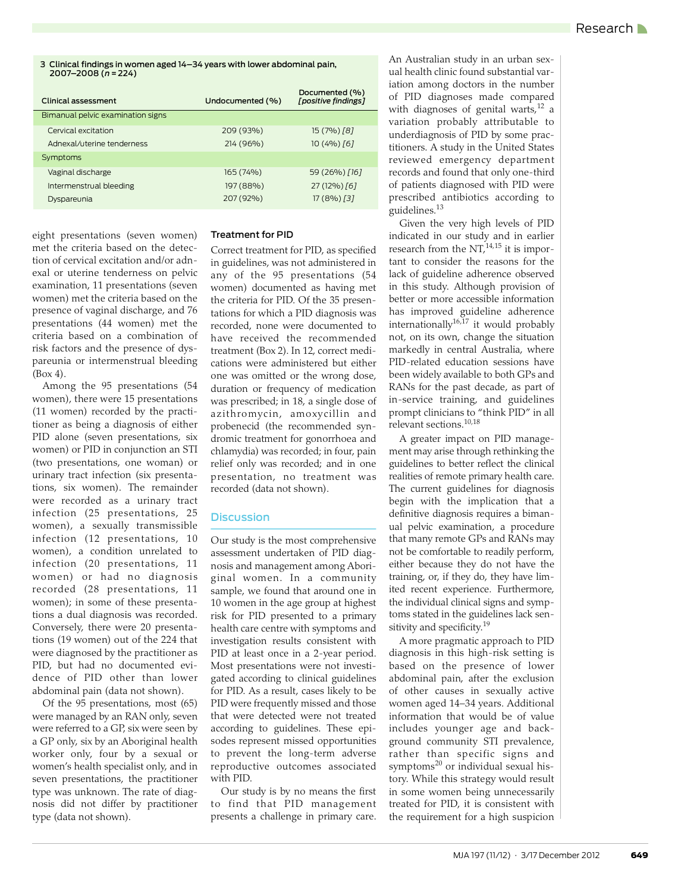3 Clinical findings in women aged 14–34 years with lower abdominal pain, 2007–2008 (*n* = 224)

| Clinical assessment               | Undocumented (%) | Documented (%)<br>[positive findings] |
|-----------------------------------|------------------|---------------------------------------|
| Bimanual pelvic examination signs |                  |                                       |
| Cervical excitation               | 209 (93%)        | 15 (7%) [8]                           |
| Adnexal/uterine tenderness        | 214 (96%)        | $10(4%)$ [6]                          |
| Symptoms                          |                  |                                       |
| Vaginal discharge                 | 165 (74%)        | 59 (26%) [16]                         |
| Intermenstrual bleeding           | 197 (88%)        | 27 (12%) [6]                          |
| Dyspareunia                       | 207 (92%)        | $17(8\%)$ [3]                         |

eight presentations (seven women) met the criteria based on the detection of cervical excitation and/or adnexal or uterine tenderness on pelvic examination, 11 presentations (seven women) met the criteria based on the presence of vaginal discharge, and 76 presentations (44 women) met the criteria based on a combination of risk factors and the presence of dyspareunia or intermenstrual bleeding (Box 4).

Among the 95 presentations (54 women), there were 15 presentations (11 women) recorded by the practitioner as being a diagnosis of either PID alone (seven presentations, six women) or PID in conjunction an STI (two presentations, one woman) or urinary tract infection (six presentations, six women). The remainder were recorded as a urinary tract infection (25 presentations, 25 women), a sexually transmissible infection (12 presentations, 10 women), a condition unrelated to infection (20 presentations, 11 women) or had no diagnosis recorded (28 presentations, 11 women); in some of these presentations a dual diagnosis was recorded. Conversely, there were 20 presentations (19 women) out of the 224 that were diagnosed by the practitioner as PID, but had no documented evidence of PID other than lower abdominal pain (data not shown).

Of the 95 presentations, most (65) were managed by an RAN only, seven were referred to a GP, six were seen by a GP only, six by an Aboriginal health worker only, four by a sexual or women's health specialist only, and in seven presentations, the practitioner type was unknown. The rate of diagnosis did not differ by practitioner type (data not shown).

### Treatment for PID

Correct treatment for PID, as specified in guidelines, was not administered in any of the 95 presentations (54 women) documented as having met the criteria for PID. Of the 35 presentations for which a PID diagnosis was recorded, none were documented to have received the recommended treatment (Box 2). In 12, correct medications were administered but either one was omitted or the wrong dose, duration or frequency of medication was prescribed; in 18, a single dose of azithromycin, amoxycillin and probenecid (the recommended syndromic treatment for gonorrhoea and chlamydia) was recorded; in four, pain relief only was recorded; and in one presentation, no treatment was recorded (data not shown).

## **Discussion**

Our study is the most comprehensive assessment undertaken of PID diagnosis and management among Aboriginal women. In a community sample, we found that around one in 10 women in the age group at highest risk for PID presented to a primary health care centre with symptoms and investigation results consistent with PID at least once in a 2-year period. Most presentations were not investigated according to clinical guidelines for PID. As a result, cases likely to be PID were frequently missed and those that were detected were not treated according to guidelines. These episodes represent missed opportunities to prevent the long-term adverse reproductive outcomes associated with PID.

Our study is by no means the first to find that PID management presents a challenge in primary care.

An Australian study in an urban sexual health clinic found substantial variation among doctors in the number of PID diagnoses made compared with diagnoses of genital warts,  $12$  a variation probably attributable to underdiagnosis of PID by some practitioners. A study in the United States reviewed emergency department records and found that only one-third of patients diagnosed with PID were prescribed antibiotics according to guidelines[.13](#page-4-2)

Given the very high levels of PID indicated in our study and in earlier research from the  $NT<sub>14,15</sub>$  $NT<sub>14,15</sub>$  $NT<sub>14,15</sub>$  it is important to consider the reasons for the lack of guideline adherence observed in this study. Although provision of better or more accessible information has improved guideline adherence internationally<sup>[16](#page-4-5),17</sup> it would probably not, on its own, change the situation markedly in central Australia, where PID-related education sessions have been widely available to both GPs and RANs for the past decade, as part of in-service training, and guidelines prompt clinicians to "think PID" in all relevant sections.[10](#page-3-8),[18](#page-4-7)

A greater impact on PID management may arise through rethinking the guidelines to better reflect the clinical realities of remote primary health care. The current guidelines for diagnosis begin with the implication that a definitive diagnosis requires a bimanual pelvic examination, a procedure that many remote GPs and RANs may not be comfortable to readily perform, either because they do not have the training, or, if they do, they have limited recent experience. Furthermore, the individual clinical signs and symptoms stated in the guidelines lack sensitivity and specificity.<sup>19</sup>

A more pragmatic approach to PID diagnosis in this high-risk setting is based on the presence of lower abdominal pain, after the exclusion of other causes in sexually active women aged 14–34 years. Additional information that would be of value includes younger age and background community STI prevalence, rather than specific signs and symptoms<sup>20</sup> or individual sexual history. While this strategy would result in some women being unnecessarily treated for PID, it is consistent with the requirement for a high suspicion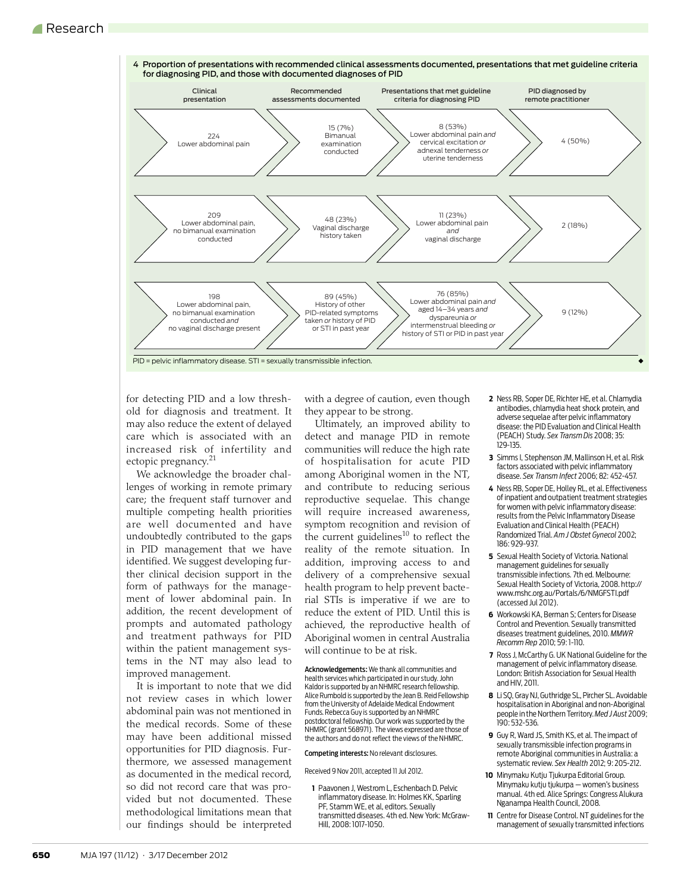

for detecting PID and a low threshold for diagnosis and treatment. It may also reduce the extent of delayed care which is associated with an increased risk of infertility and ectopic pregnancy.<sup>[21](#page-4-0)</sup>

We acknowledge the broader challenges of working in remote primary care; the frequent staff turnover and multiple competing health priorities are well documented and have undoubtedly contributed to the gaps in PID management that we have identified. We suggest developing further clinical decision support in the form of pathways for the management of lower abdominal pain. In addition, the recent development of prompts and automated pathology and treatment pathways for PID within the patient management systems in the NT may also lead to improved management.

It is important to note that we did not review cases in which lower abdominal pain was not mentioned in the medical records. Some of these may have been additional missed opportunities for PID diagnosis. Furthermore, we assessed management as documented in the medical record, so did not record care that was provided but not documented. These methodological limitations mean that our findings should be interpreted with a degree of caution, even though they appear to be strong.

Ultimately, an improved ability to detect and manage PID in remote communities will reduce the high rate of hospitalisation for acute PID among Aboriginal women in the NT, and contribute to reducing serious reproductive sequelae. This change will require increased awareness, symptom recognition and revision of the current guidelines $10$  to reflect the reality of the remote situation. In addition, improving access to and delivery of a comprehensive sexual health program to help prevent bacterial STIs is imperative if we are to reduce the extent of PID. Until this is achieved, the reproductive health of Aboriginal women in central Australia will continue to be at risk.

Acknowledgements: We thank all communities and health services which participated in our study. John Kaldor is supported by an NHMRC research fellowship. Alice Rumbold is supported by the Jean B. Reid Fellowship from the University of Adelaide Medical Endowment Funds. Rebecca Guy is supported by an NHMRC postdoctoral fellowship. Our work was supported by the NHMRC (grant 568971). The views expressed are those of the authors and do not reflect the views of the NHMRC.

Competing interests: No relevant disclosures.

Received 9 Nov 2011, accepted 11 Jul 2012.

<span id="page-3-0"></span>**1** Paavonen J, Westrom L, Eschenbach D. Pelvic inflammatory disease. In: Holmes KK, Sparling PF, Stamm WE, et al, editors. Sexually transmitted diseases. 4th ed. New York: McGraw-Hill, 2008: 1017-1050.

- <span id="page-3-1"></span>**2** Ness RB, Soper DE, Richter HE, et al. Chlamydia antibodies, chlamydia heat shock protein, and adverse sequelae after pelvic inflammatory disease: the PID Evaluation and Clinical Health (PEACH) Study. *Sex Transm Dis* 2008; 35: 129-135.
- <span id="page-3-2"></span>**3** Simms I, Stephenson JM, Mallinson H, et al. Risk factors associated with pelvic inflammatory disease. *Sex Transm Infect* 2006; 82: 452-457.
- <span id="page-3-3"></span>**4** Ness RB, Soper DE, Holley RL, et al. Effectiveness of inpatient and outpatient treatment strategies for women with pelvic inflammatory disease: results from the Pelvic Inflammatory Disease Evaluation and Clinical Health (PEACH) Randomized Trial. *Am J Obstet Gynecol* 2002; 186: 929-937.
- <span id="page-3-4"></span>**5** Sexual Health Society of Victoria. National management guidelines for sexually transmissible infections. 7th ed. Melbourne: [Sexual Health Society of Victoria, 2008. http://](http://www.mshc.org.au/Portals/6/NMGFSTI.pdf) www.mshc.org.au/Portals/6/NMGFSTI.pdf (accessed Jul 2012).
- **6** Workowski KA, Berman S; Centers for Disease Control and Prevention. Sexually transmitted diseases treatment guidelines, 2010. *MMWR Recomm Rep* 2010; 59: 1-110.
- <span id="page-3-5"></span>**7** Ross J, McCarthy G. UK National Guideline for the management of pelvic inflammatory disease. London: British Association for Sexual Health and HIV, 2011.
- <span id="page-3-6"></span>**8** Li SQ, Gray NJ, Guthridge SL, Pircher SL. Avoidable hospitalisation in Aboriginal and non-Aboriginal people in the Northern Territory. *Med J Aust* 2009; 190: 532-536.
- <span id="page-3-7"></span>**9** Guy R, Ward JS, Smith KS, et al. The impact of sexually transmissible infection programs in remote Aboriginal communities in Australia: a systematic review. *Sex Health* 2012; 9: 205-212.
- <span id="page-3-8"></span>**10** Minymaku Kutju Tjukurpa Editorial Group. Minymaku kutju tjukurpa — women's business manual. 4th ed. Alice Springs: Congress Alukura Nganampa Health Council, 2008.
- <span id="page-3-9"></span>**11** Centre for Disease Control. NT guidelines for the management of sexually transmitted infections